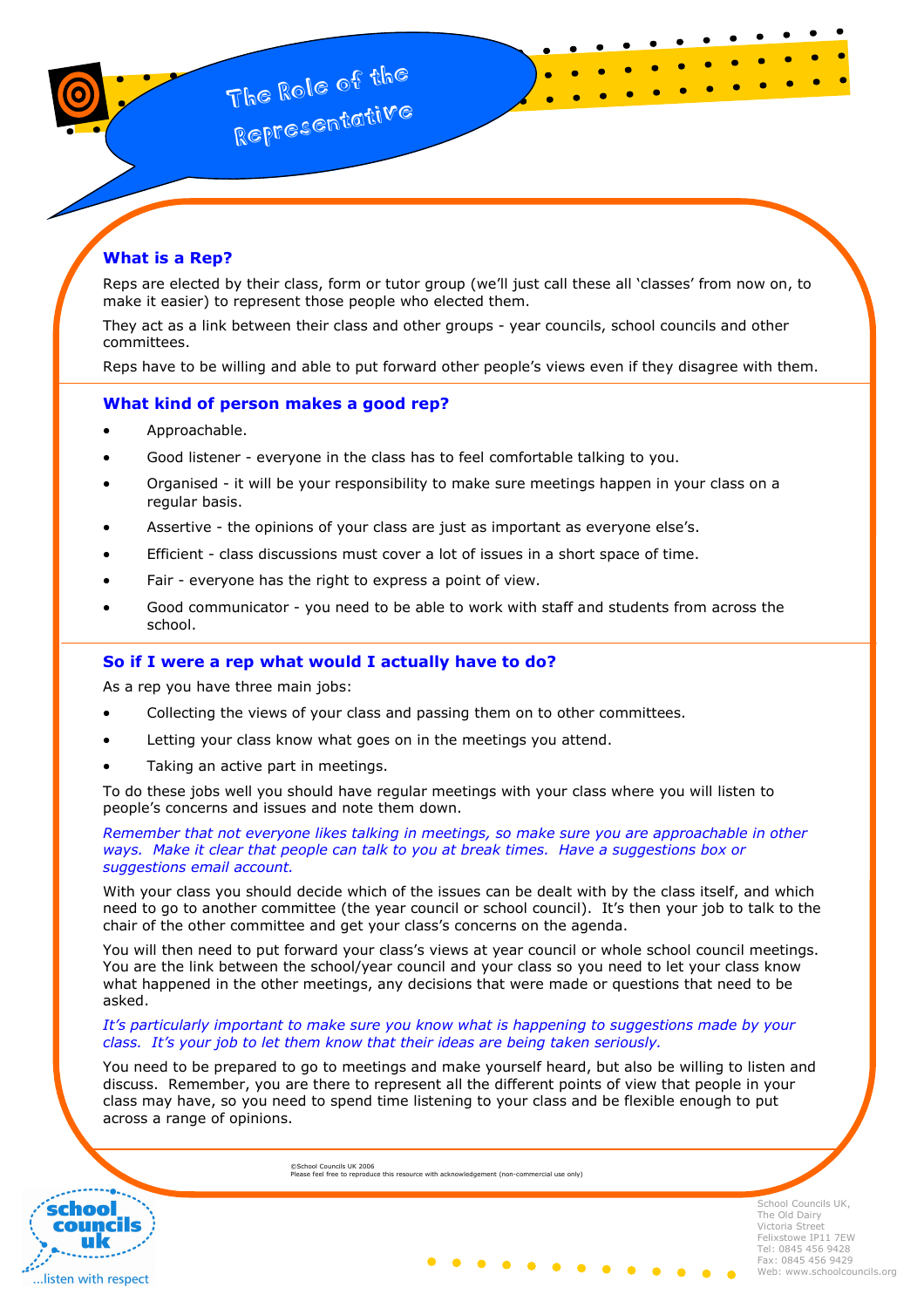# What is a Rep?

Reps are elected by their class, form or tutor group (we'll just call these all 'classes' from now on, to make it easier) to represent those people who elected them.

They act as a link between their class and other groups - year councils, school councils and other committees.

Reps have to be willing and able to put forward other people's views even if they disagree with them.

## What kind of person makes a good rep?

- Approachable.
- Good listener everyone in the class has to feel comfortable talking to you.
- Organised it will be your responsibility to make sure meetings happen in your class on a regular basis.
- Assertive the opinions of your class are just as important as everyone else's.
- Efficient class discussions must cover a lot of issues in a short space of time.
- Fair everyone has the right to express a point of view.
- Good communicator you need to be able to work with staff and students from across the school.

### So if I were a rep what would I actually have to do?

As a rep you have three main jobs:

- Collecting the views of your class and passing them on to other committees.
- Letting your class know what goes on in the meetings you attend.
- Taking an active part in meetings.

To do these jobs well you should have regular meetings with your class where you will listen to people's concerns and issues and note them down.

#### Remember that not everyone likes talking in meetings, so make sure you are approachable in other ways. Make it clear that people can talk to you at break times. Have a suggestions box or suggestions email account.

With your class you should decide which of the issues can be dealt with by the class itself, and which need to go to another committee (the year council or school council). It's then your job to talk to the chair of the other committee and get your class's concerns on the agenda.

You will then need to put forward your class's views at year council or whole school council meetings. You are the link between the school/year council and your class so you need to let your class know what happened in the other meetings, any decisions that were made or questions that need to be asked.

#### It's particularly important to make sure you know what is happening to suggestions made by your class. It's your job to let them know that their ideas are being taken seriously.

You need to be prepared to go to meetings and make yourself heard, but also be willing to listen and discuss. Remember, you are there to represent all the different points of view that people in your class may have, so you need to spend time listening to your class and be flexible enough to put across a range of opinions.

©School Councils UK 2006 Please feel free to reproduce this resource with acknowledgement (non-commercial use only)



School Councils UK, The Old Dairy Victoria Street Felixstowe IP11 7EW Tel: 0845 456 9428 Fax: 0845 456 9429 Web: www.schoolcouncils.org